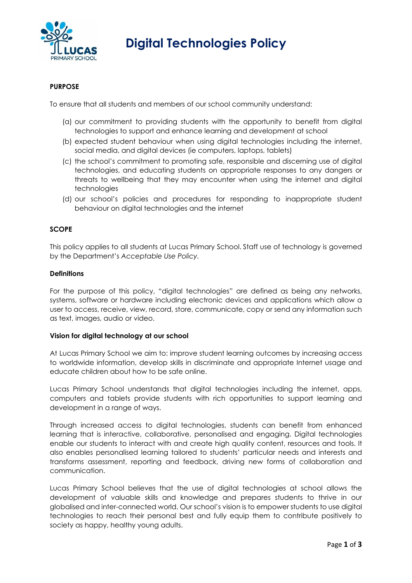

# **Digital Technologies Policy**

## **PURPOSE**

To ensure that all students and members of our school community understand:

- (a) our commitment to providing students with the opportunity to benefit from digital technologies to support and enhance learning and development at school
- (b) expected student behaviour when using digital technologies including the internet, social media, and digital devices (ie computers, laptops, tablets)
- (c) the school's commitment to promoting safe, responsible and discerning use of digital technologies, and educating students on appropriate responses to any dangers or threats to wellbeing that they may encounter when using the internet and digital technologies
- (d) our school's policies and procedures for responding to inappropriate student behaviour on digital technologies and the internet

#### **SCOPE**

This policy applies to all students at Lucas Primary School. Staff use of technology is governed by the Department's *Acceptable Use Policy.* 

#### **Definitions**

For the purpose of this policy, "digital technologies" are defined as being any networks, systems, software or hardware including electronic devices and applications which allow a user to access, receive, view, record, store, communicate, copy or send any information such as text, images, audio or video.

#### **Vision for digital technology at our school**

At Lucas Primary School we aim to: improve student learning outcomes by increasing access to worldwide information, develop skills in discriminate and appropriate Internet usage and educate children about how to be safe online.

Lucas Primary School understands that digital technologies including the internet, apps, computers and tablets provide students with rich opportunities to support learning and development in a range of ways.

Through increased access to digital technologies, students can benefit from enhanced learning that is interactive, collaborative, personalised and engaging. Digital technologies enable our students to interact with and create high quality content, resources and tools. It also enables personalised learning tailored to students' particular needs and interests and transforms assessment, reporting and feedback, driving new forms of collaboration and communication.

Lucas Primary School believes that the use of digital technologies at school allows the development of valuable skills and knowledge and prepares students to thrive in our globalised and inter-connected world. Our school's vision is to empower students to use digital technologies to reach their personal best and fully equip them to contribute positively to society as happy, healthy young adults.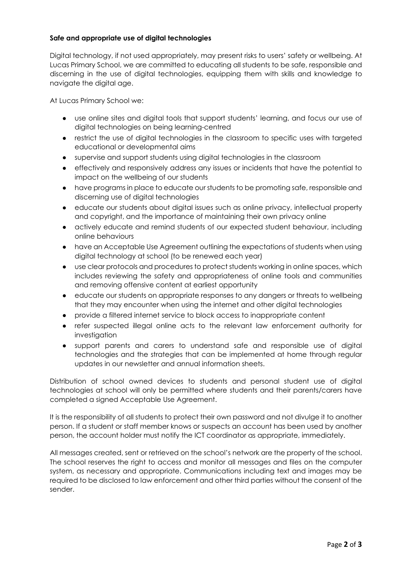## **Safe and appropriate use of digital technologies**

Digital technology, if not used appropriately, may present risks to users' safety or wellbeing. At Lucas Primary School, we are committed to educating all students to be safe, responsible and discerning in the use of digital technologies, equipping them with skills and knowledge to navigate the digital age.

At Lucas Primary School we:

- use online sites and digital tools that support students' learning, and focus our use of digital technologies on being learning-centred
- restrict the use of digital technologies in the classroom to specific uses with targeted educational or developmental aims
- supervise and support students using digital technologies in the classroom
- effectively and responsively address any issues or incidents that have the potential to impact on the wellbeing of our students
- have programs in place to educate our students to be promoting safe, responsible and discerning use of digital technologies
- educate our students about digital issues such as online privacy, intellectual property and copyright, and the importance of maintaining their own privacy online
- actively educate and remind students of our expected student behaviour, including online behaviours
- have an Acceptable Use Agreement outlining the expectations of students when using digital technology at school (to be renewed each year)
- use clear protocols and procedures to protect students working in online spaces, which includes reviewing the safety and appropriateness of online tools and communities and removing offensive content at earliest opportunity
- educate our students on appropriate responses to any dangers or threats to wellbeing that they may encounter when using the internet and other digital technologies
- provide a filtered internet service to block access to inappropriate content
- refer suspected illegal online acts to the relevant law enforcement authority for investigation
- support parents and carers to understand safe and responsible use of digital technologies and the strategies that can be implemented at home through regular updates in our newsletter and annual information sheets.

Distribution of school owned devices to students and personal student use of digital technologies at school will only be permitted where students and their parents/carers have completed a signed Acceptable Use Agreement.

It is the responsibility of all students to protect their own password and not divulge it to another person. If a student or staff member knows or suspects an account has been used by another person, the account holder must notify the ICT coordinator as appropriate, immediately.

All messages created, sent or retrieved on the school's network are the property of the school. The school reserves the right to access and monitor all messages and files on the computer system, as necessary and appropriate. Communications including text and images may be required to be disclosed to law enforcement and other third parties without the consent of the sender.